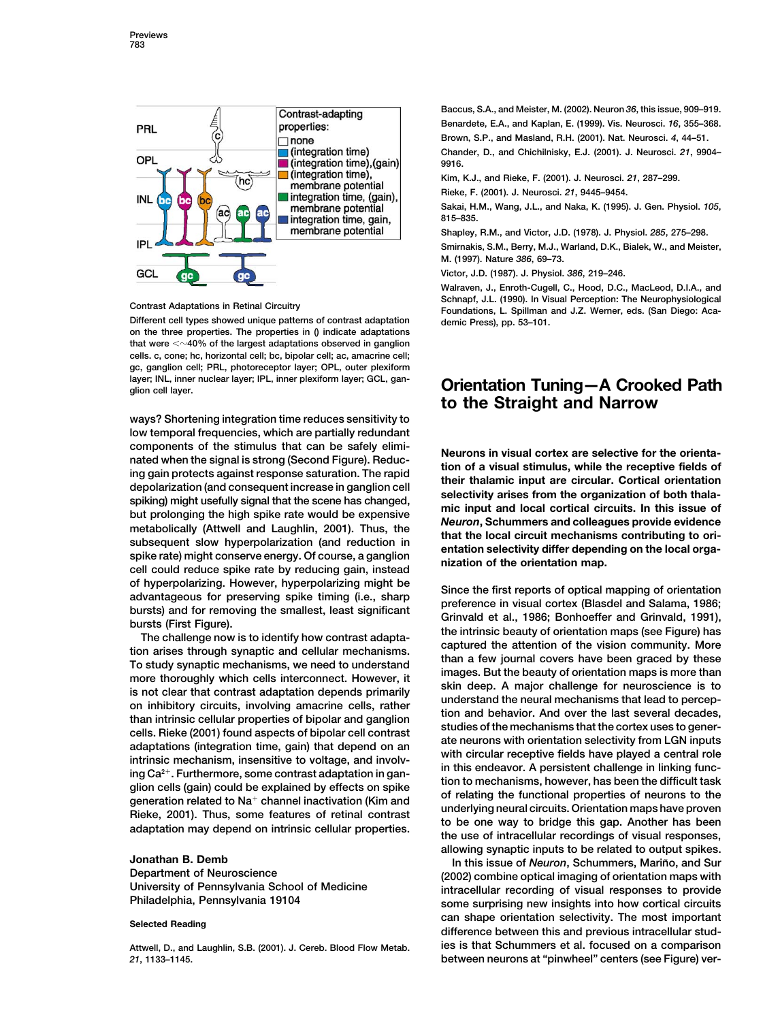

Different cell types showed unique patterns of contrast adaptation demic Press), pp. 53-101. **on the three properties. The properties in () indicate adaptations that were 40% of the largest adaptations observed in ganglion cells. c, cone; hc, horizontal cell; bc, bipolar cell; ac, amacrine cell; gc, ganglion cell; PRL, photoreceptor layer; OPL, outer plexiform layer; INL, inner nuclear layer; IPL, inner plexiform layer; GCL, gan**rayer; inc., inner nuclear layer; iPc., inner plexilorm layer; GOC, gan-**Call Crientation Tuning—A Crooked Path** 

**ways? Shortening integration time reduces sensitivity to low temporal frequencies, which are partially redundant** components of the stimulus that can be safely elimi-<br>nated when the signal is strong (Second Figure). Reduc-<br>ing gain protects against response saturation. The rapid<br>depolarization (and consequent increase in ganglion cell

**Baccus, S.A., and Meister, M. (2002). Neuron** *36***, this issue, 909–919. Benardete, E.A., and Kaplan, E. (1999). Vis. Neurosci.** *16***, 355–368. Brown, S.P., and Masland, R.H. (2001). Nat. Neurosci.** *4***, 44–51. Chander, D., and Chichilnisky, E.J. (2001). J. Neurosci.** *21***, 9904– 9916.**

**Kim, K.J., and Rieke, F. (2001). J. Neurosci.** *21***, 287–299.**

**Rieke, F. (2001). J. Neurosci.** *21***, 9445–9454.**

**Sakai, H.M., Wang, J.L., and Naka, K. (1995). J. Gen. Physiol.** *105***, 815–835.**

**Shapley, R.M., and Victor, J.D. (1978). J. Physiol.** *285***, 275–298. Smirnakis, S.M., Berry, M.J., Warland, D.K., Bialek, W., and Meister, M. (1997). Nature** *386***, 69–73.**

**Victor, J.D. (1987). J. Physiol.** *386***, 219–246.**

**Walraven, J., Enroth-Cugell, C., Hood, D.C., MacLeod, D.I.A., and Schnapf, J.L. (1990). In Visual Perception: The Neurophysiological Contrast Adaptations in Retinal Circuitry Foundations, L. Spillman and J.Z. Werner, eds. (San Diego: Aca-**

# **to the Straight and Narrow**

of hyperpolarizing. However, hyperpolarizing might be<br>advantageous for preserving spike teming (i.e., sharp<br>bursts) and for removing the smallest, least significant<br>bursts) and for removing the smallest, least significant<br> **allowing synaptic inputs to be related to output spikes.**

**Jonathan B. Demb**<br> **In this issue of** *Neuron***, Schummers, Mariño, and Sur<br>** *I* **(2002) combine optical imaging of orientation mans with** Department of Neuroscience<br>University of Pennsylvania School of Medicine<br>Philadelphia, Pennsylvania 19104<br>Some surprising new insights into how cortical circuits **can shape orientation selectivity. The most important Selected Reading difference between this and previous intracellular stud-Attwell, D., and Laughlin, S.B. (2001). J. Cereb. Blood Flow Metab. ies is that Schummers et al. focused on a comparison** *21***, 1133–1145. between neurons at "pinwheel" centers (see Figure) ver-**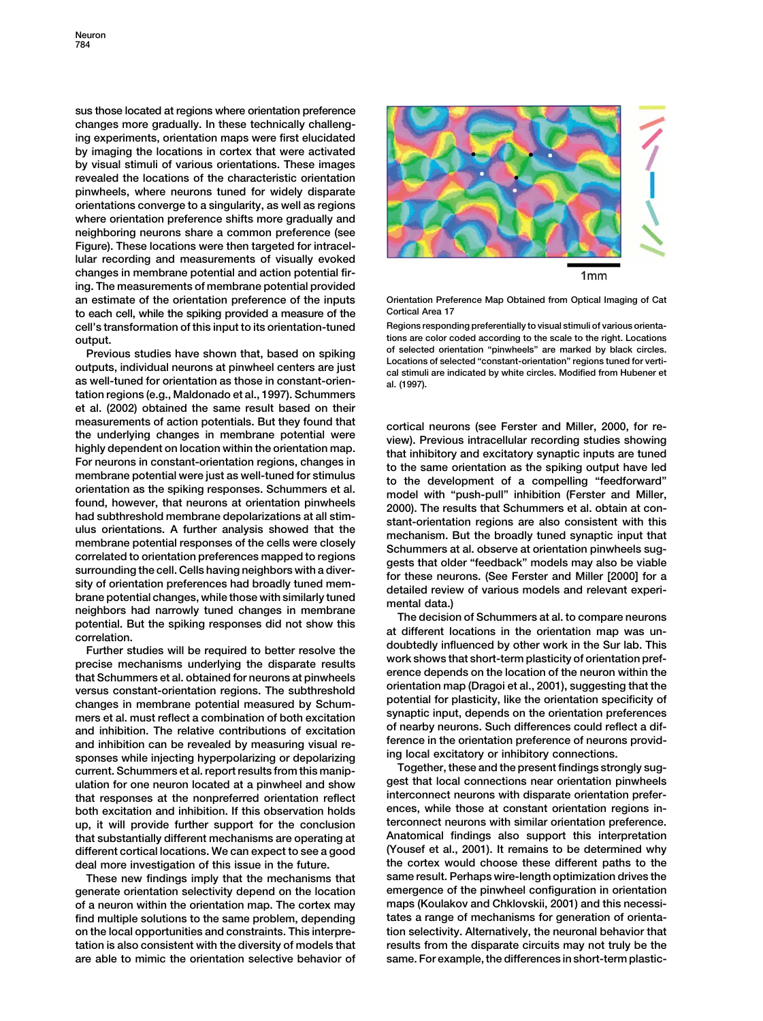**sus those located at regions where orientation preference changes more gradually. In these technically challenging experiments, orientation maps were first elucidated by imaging the locations in cortex that were activated by visual stimuli of various orientations. These images revealed the locations of the characteristic orientation pinwheels, where neurons tuned for widely disparate orientations converge to a singularity, as well as regions where orientation preference shifts more gradually and neighboring neurons share a common preference (see Figure). These locations were then targeted for intracellular recording and measurements of visually evoked changes in membrane potential and action potential firing. The measurements of membrane potential provided an estimate of the orientation preference of the inputs Orientation Preference Map Obtained from Optical Imaging of Cat** to each cell, while the spiking provided a measure of the **cell's transformation of this input to its orientation-tuned** Regions responding preferentially to visual stimuli of various orienta-<br> **Regions responding preferentially to visual stimuli of various orienta-**<br> **Regions re** 

**tation regions (e.g., Maldonado et al., 1997). Schummers et al. (2002) obtained the same result based on their** measurements of action potentials. But they found that<br>
the underlying changes in membrane potential were<br>
the underlying changes in membrane potential were<br>
the underlying studies showing studies are the<br>
the underlying s

**mers et al. must reflect a combination of both excitation synaptic input, depends on the orientation preferences** and inhibition. The relative contributions of excitation of nearby neurons. Such differences could reflect a dif<br>and inhibition can be revealed by measuring visual re-<br>ference in the orientation preference of neurons provi and inhibition can be revealed by measuring visual re-<br>sponses while injecting hyperpolarizing or depolarizing<br>current. Schummers et al. report results from this manip-<br>ulation for one neuron located at a ninwheel and show **gest that local connections near orientation pinwheels ulation for one neuron located at a pinwheel and show** that responses at the nonpreferred orientation reflect<br>hoth excitation and inhibition If this observation holds ences, while those at constant orientation regions in**both excitation and inhibition. If this observation holds ences, while those at constant orientation regions inup, it will provide further support for the conclusion terconnect neurons with similar orientation preference. that substantially different mechanisms are operating at different cortical locations. We can expect to see a good (Yousef et al., 2001). It remains to be determined why** deal more investigation of this issue in the future.



output.<br>
Previous studies have shown that, based on spiking<br>
outputs, individual neurons at pinwheel centers are just<br>
as well-tuned for orientation as those in constant-orien-<br>
as well-tuned for orientation as those in co

**These new findings imply that the mechanisms that same result. Perhaps wire-length optimization drives the generate orientation selectivity depend on the location emergence of the pinwheel configuration in orientation of a neuron within the orientation map. The cortex may maps (Koulakov and Chklovskii, 2001) and this necessifind multiple solutions to the same problem, depending tates a range of mechanisms for generation of orientaon the local opportunities and constraints. This interpre- tion selectivity. Alternatively, the neuronal behavior that tation is also consistent with the diversity of models that results from the disparate circuits may not truly be the are able to mimic the orientation selective behavior of same. For example, the differences in short-term plastic-**